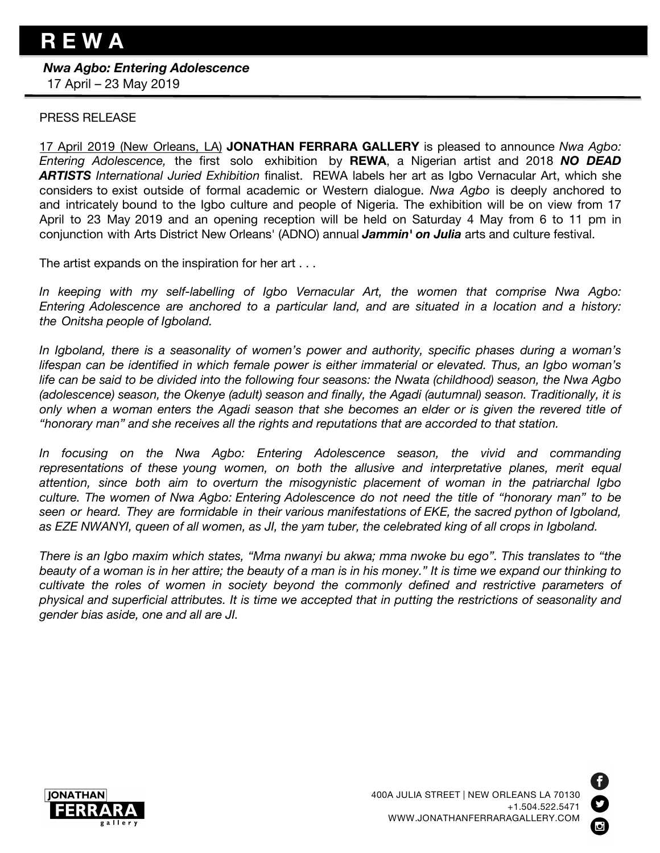## *Nwa Agbo: Entering Adolescence*

17 April – 23 May 2019

## PRESS RELEASE

17 April 2019 (New Orleans, LA) **JONATHAN FERRARA GALLERY** is pleased to announce *Nwa Agbo: Entering Adolescence,* the first solo exhibition by **REWA**, a Nigerian artist and 2018 *NO DEAD ARTISTS International Juried Exhibition* finalist. REWA labels her art as Igbo Vernacular Art, which she considers to exist outside of formal academic or Western dialogue. *Nwa Agbo* is deeply anchored to and intricately bound to the Igbo culture and people of Nigeria. The exhibition will be on view from 17 April to 23 May 2019 and an opening reception will be held on Saturday 4 May from 6 to 11 pm in conjunction with Arts District New Orleans' (ADNO) annual *Jammin' on Julia* arts and culture festival.

The artist expands on the inspiration for her art . . .

*In keeping with my self-labelling of Igbo Vernacular Art, the women that comprise Nwa Agbo: Entering Adolescence are anchored to a particular land, and are situated in a location and a history: the Onitsha people of Igboland.* 

*In Igboland, there is a seasonality of women's power and authority, specific phases during a woman's lifespan can be identified in which female power is either immaterial or elevated. Thus, an Igbo woman's life can be said to be divided into the following four seasons: the Nwata (childhood) season, the Nwa Agbo (adolescence) season, the Okenye (adult) season and finally, the Agadi (autumnal) season. Traditionally, it is*  only when a woman enters the Agadi season that she becomes an elder or is given the revered title of *"honorary man" and she receives all the rights and reputations that are accorded to that station.* 

*In focusing on the Nwa Agbo: Entering Adolescence season, the vivid and commanding representations of these young women, on both the allusive and interpretative planes, merit equal attention, since both aim to overturn the misogynistic placement of woman in the patriarchal Igbo*  culture. The women of Nwa Agbo: Entering Adolescence do not need the title of "honorary man" to be *seen or heard. They are formidable in their various manifestations of EKE, the sacred python of Igboland, as EZE NWANYI, queen of all women, as JI, the yam tuber, the celebrated king of all crops in Igboland.* 

*There is an Igbo maxim which states, "Mma nwanyi bu akwa; mma nwoke bu ego". This translates to "the beauty of a woman is in her attire; the beauty of a man is in his money." It is time we expand our thinking to cultivate the roles of women in society beyond the commonly defined and restrictive parameters of physical and superficial attributes. It is time we accepted that in putting the restrictions of seasonality and gender bias aside, one and all are JI.*